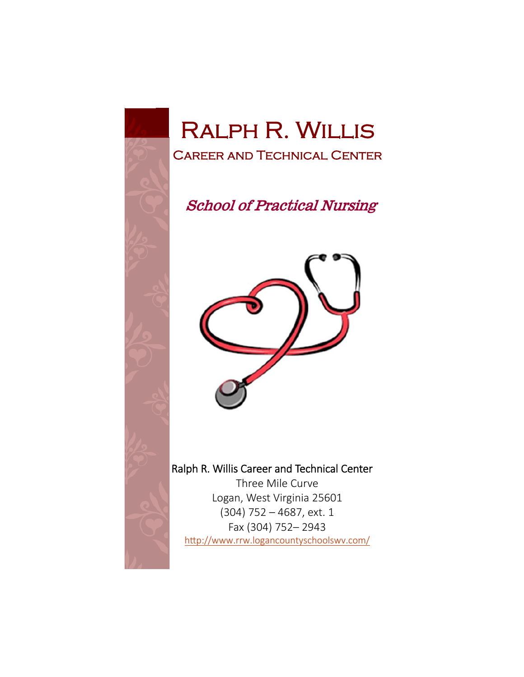

# Ralph R. Willis Career and Technical Center

**School of Practical Nursing** 



# Ralph R. Willis Career and Technical Center

Three Mile Curve Logan, West Virginia 25601 (304) 752 – 4687, ext. 1 Fax (304) 752– 2943 http://www.rrw.logancountyschoolswv.com/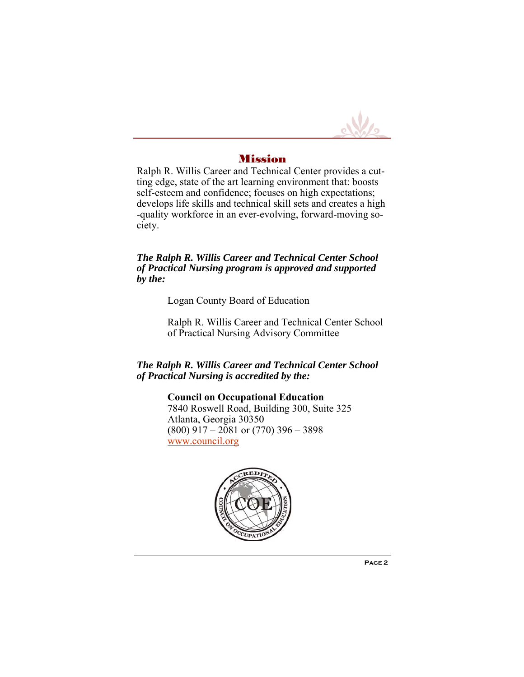

#### Mission

Ralph R. Willis Career and Technical Center provides a cutting edge, state of the art learning environment that: boosts self-esteem and confidence; focuses on high expectations; develops life skills and technical skill sets and creates a high -quality workforce in an ever-evolving, forward-moving society.

#### *The Ralph R. Willis Career and Technical Center School of Practical Nursing program is approved and supported by the:*

Logan County Board of Education

Ralph R. Willis Career and Technical Center School of Practical Nursing Advisory Committee

#### *The Ralph R. Willis Career and Technical Center School of Practical Nursing is accredited by the:*

**Council on Occupational Education**  7840 Roswell Road, Building 300, Suite 325 Atlanta, Georgia 30350  $(800)$  917 – 2081 or  $(770)$  396 – 3898 www.council.org

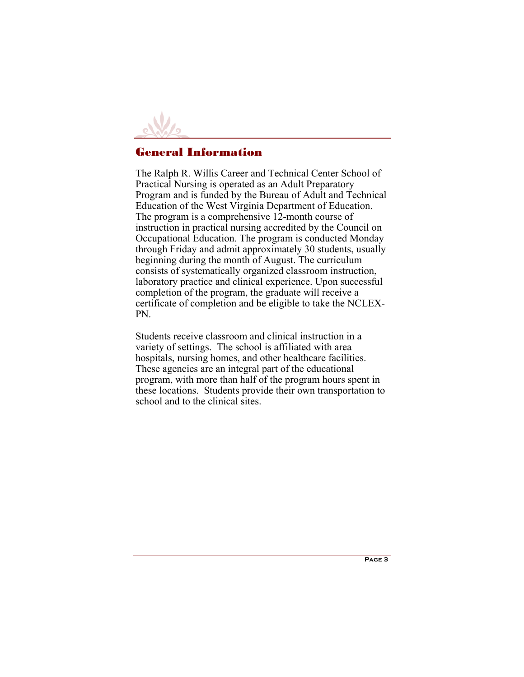

## General Information

The Ralph R. Willis Career and Technical Center School of Practical Nursing is operated as an Adult Preparatory Program and is funded by the Bureau of Adult and Technical Education of the West Virginia Department of Education. The program is a comprehensive 12-month course of instruction in practical nursing accredited by the Council on Occupational Education. The program is conducted Monday through Friday and admit approximately 30 students, usually beginning during the month of August. The curriculum consists of systematically organized classroom instruction, laboratory practice and clinical experience. Upon successful completion of the program, the graduate will receive a certificate of completion and be eligible to take the NCLEX-PN.

Students receive classroom and clinical instruction in a variety of settings. The school is affiliated with area hospitals, nursing homes, and other healthcare facilities. These agencies are an integral part of the educational program, with more than half of the program hours spent in these locations. Students provide their own transportation to school and to the clinical sites.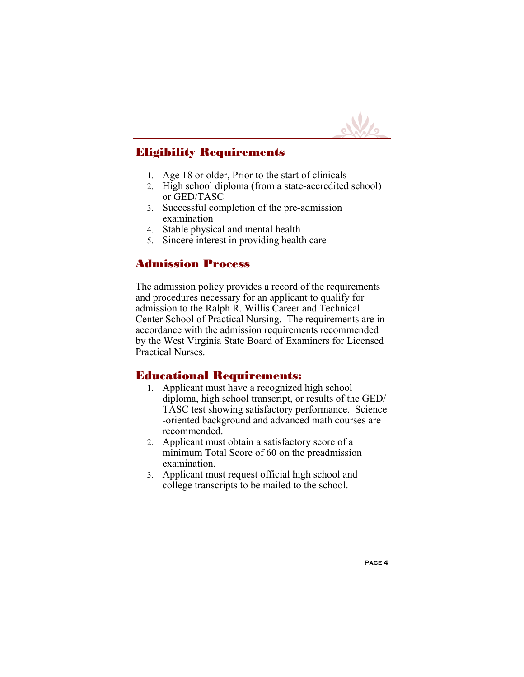

## Eligibility Requirements

- Age 18 or older, Prior to the start of clinicals
- 2. High school diploma (from a state-accredited school) or GED/TASC
- Successful completion of the pre-admission examination
- Stable physical and mental health
- Sincere interest in providing health care

## Admission Process

The admission policy provides a record of the requirements and procedures necessary for an applicant to qualify for admission to the Ralph R. Willis Career and Technical Center School of Practical Nursing. The requirements are in accordance with the admission requirements recommended by the West Virginia State Board of Examiners for Licensed Practical Nurses.

## Educational Requirements:

- Applicant must have a recognized high school diploma, high school transcript, or results of the GED/ TASC test showing satisfactory performance. Science -oriented background and advanced math courses are recommended.
- Applicant must obtain a satisfactory score of a minimum Total Score of 60 on the preadmission examination.
- Applicant must request official high school and college transcripts to be mailed to the school.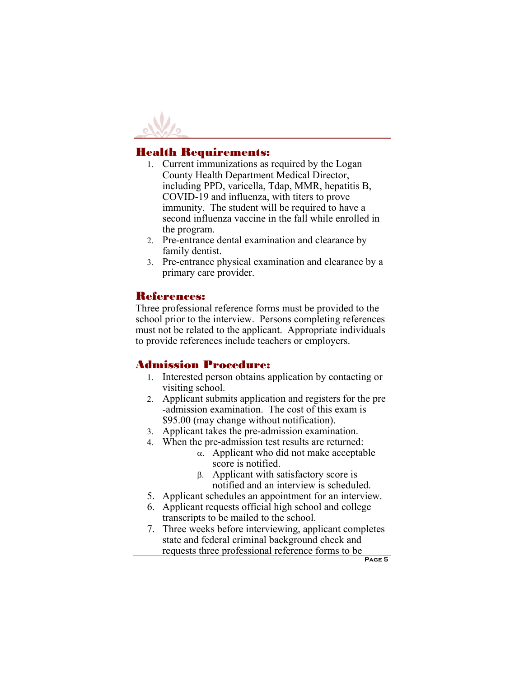

## Health Requirements:

- Current immunizations as required by the Logan County Health Department Medical Director, including PPD, varicella, Tdap, MMR, hepatitis B, COVID-19 and influenza, with titers to prove immunity. The student will be required to have a second influenza vaccine in the fall while enrolled in the program.
- Pre-entrance dental examination and clearance by family dentist.
- Pre-entrance physical examination and clearance by a primary care provider.

## References:

Three professional reference forms must be provided to the school prior to the interview. Persons completing references must not be related to the applicant. Appropriate individuals to provide references include teachers or employers.

## Admission Procedure:

- Interested person obtains application by contacting or visiting school.
- Applicant submits application and registers for the pre -admission examination. The cost of this exam is \$95.00 (may change without notification).
- Applicant takes the pre-admission examination.
- When the pre-admission test results are returned:
	- $\alpha$ . Applicant who did not make acceptable score is notified.
	- $\beta$ . Applicant with satisfactory score is notified and an interview is scheduled.
- 5. Applicant schedules an appointment for an interview.
- 6. Applicant requests official high school and college transcripts to be mailed to the school.
- 7. Three weeks before interviewing, applicant completes state and federal criminal background check and requests three professional reference forms to be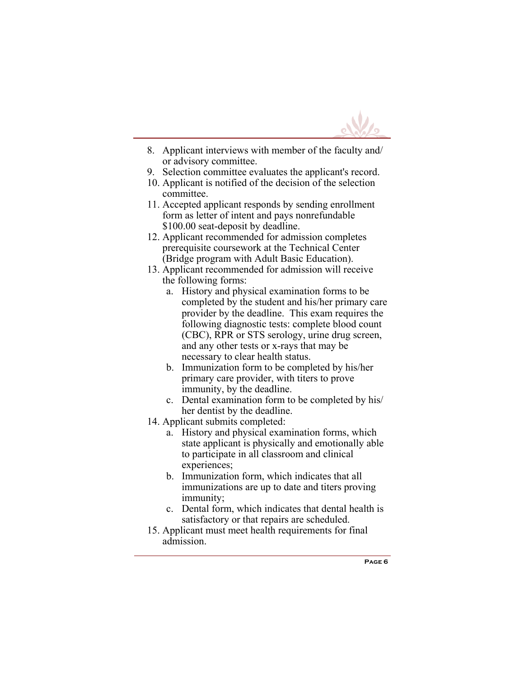

- 8. Applicant interviews with member of the faculty and/ or advisory committee.
- 9. Selection committee evaluates the applicant's record.
- 10. Applicant is notified of the decision of the selection committee.
- 11. Accepted applicant responds by sending enrollment form as letter of intent and pays nonrefundable \$100.00 seat-deposit by deadline.
- 12. Applicant recommended for admission completes prerequisite coursework at the Technical Center (Bridge program with Adult Basic Education).
- 13. Applicant recommended for admission will receive the following forms:
	- a. History and physical examination forms to be completed by the student and his/her primary care provider by the deadline. This exam requires the following diagnostic tests: complete blood count (CBC), RPR or STS serology, urine drug screen, and any other tests or x-rays that may be necessary to clear health status.
	- b. Immunization form to be completed by his/her primary care provider, with titers to prove immunity, by the deadline.
	- c. Dental examination form to be completed by his/ her dentist by the deadline.
- 14. Applicant submits completed:
	- a. History and physical examination forms, which state applicant is physically and emotionally able to participate in all classroom and clinical experiences;
	- b. Immunization form, which indicates that all immunizations are up to date and titers proving immunity;
	- c. Dental form, which indicates that dental health is satisfactory or that repairs are scheduled.
- 15. Applicant must meet health requirements for final admission.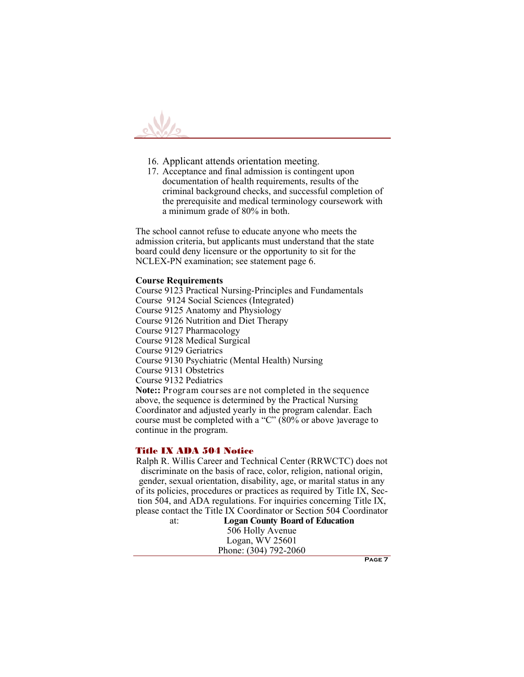

- 16. Applicant attends orientation meeting.
- 17. Acceptance and final admission is contingent upon documentation of health requirements, results of the criminal background checks, and successful completion of the prerequisite and medical terminology coursework with a minimum grade of 80% in both.

The school cannot refuse to educate anyone who meets the admission criteria, but applicants must understand that the state board could deny licensure or the opportunity to sit for the NCLEX-PN examination; see statement page 6.

#### **Course Requirements**

Course 9123 Practical Nursing-Principles and Fundamentals Course 9124 Social Sciences (Integrated) Course 9125 Anatomy and Physiology Course 9126 Nutrition and Diet Therapy Course 9127 Pharmacology Course 9128 Medical Surgical Course 9129 Geriatrics Course 9130 Psychiatric (Mental Health) Nursing Course 9131 Obstetrics Course 9132 Pediatrics **Note::** Program courses are not completed in the sequence above, the sequence is determined by the Practical Nursing Coordinator and adjusted yearly in the program calendar. Each course must be completed with a "C"  $(80\% \text{ or above})$  average to continue in the program.

#### Title IX ADA 504 Notice

Ralph R. Willis Career and Technical Center (RRWCTC) does not discriminate on the basis of race, color, religion, national origin, gender, sexual orientation, disability, age, or marital status in any of its policies, procedures or practices as required by Title IX, Section 504, and ADA regulations. For inquiries concerning Title IX, please contact the Title IX Coordinator or Section 504 Coordinator

at: **Logan County Board of Education** 506 Holly Avenue Logan, WV 25601 Phone: (304) 792-2060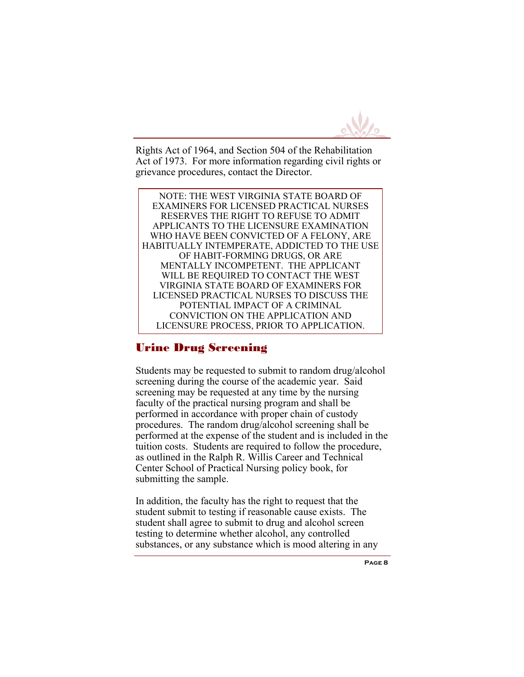

Rights Act of 1964, and Section 504 of the Rehabilitation Act of 1973. For more information regarding civil rights or grievance procedures, contact the Director.

NOTE: THE WEST VIRGINIA STATE BOARD OF EXAMINERS FOR LICENSED PRACTICAL NURSES RESERVES THE RIGHT TO REFUSE TO ADMIT APPLICANTS TO THE LICENSURE EXAMINATION WHO HAVE BEEN CONVICTED OF A FELONY, ARE HABITUALLY INTEMPERATE, ADDICTED TO THE USE OF HABIT-FORMING DRUGS, OR ARE MENTALLY INCOMPETENT. THE APPLICANT WILL BE REQUIRED TO CONTACT THE WEST VIRGINIA STATE BOARD OF EXAMINERS FOR LICENSED PRACTICAL NURSES TO DISCUSS THE POTENTIAL IMPACT OF A CRIMINAL CONVICTION ON THE APPLICATION AND LICENSURE PROCESS, PRIOR TO APPLICATION.

## Urine Drug Screening

Students may be requested to submit to random drug/alcohol screening during the course of the academic year. Said screening may be requested at any time by the nursing faculty of the practical nursing program and shall be performed in accordance with proper chain of custody procedures. The random drug/alcohol screening shall be performed at the expense of the student and is included in the tuition costs. Students are required to follow the procedure, as outlined in the Ralph R. Willis Career and Technical Center School of Practical Nursing policy book, for submitting the sample.

In addition, the faculty has the right to request that the student submit to testing if reasonable cause exists. The student shall agree to submit to drug and alcohol screen testing to determine whether alcohol, any controlled substances, or any substance which is mood altering in any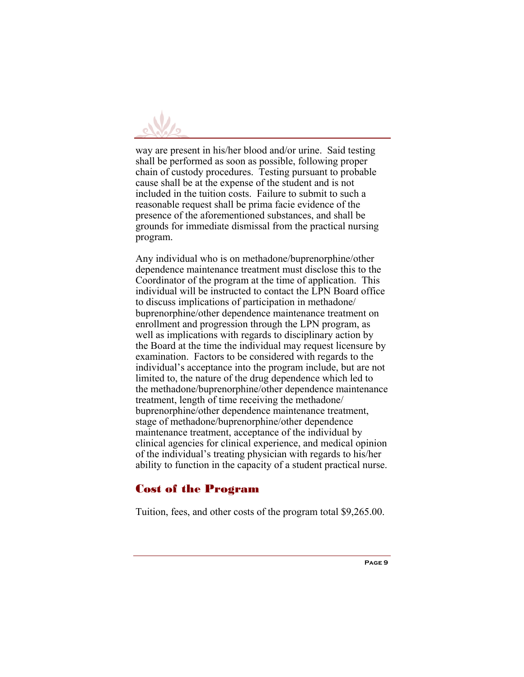

way are present in his/her blood and/or urine. Said testing shall be performed as soon as possible, following proper chain of custody procedures. Testing pursuant to probable cause shall be at the expense of the student and is not included in the tuition costs. Failure to submit to such a reasonable request shall be prima facie evidence of the presence of the aforementioned substances, and shall be grounds for immediate dismissal from the practical nursing program.

Any individual who is on methadone/buprenorphine/other dependence maintenance treatment must disclose this to the Coordinator of the program at the time of application. This individual will be instructed to contact the LPN Board office to discuss implications of participation in methadone/ buprenorphine/other dependence maintenance treatment on enrollment and progression through the LPN program, as well as implications with regards to disciplinary action by the Board at the time the individual may request licensure by examination. Factors to be considered with regards to the individual's acceptance into the program include, but are not limited to, the nature of the drug dependence which led to the methadone/buprenorphine/other dependence maintenance treatment, length of time receiving the methadone/ buprenorphine/other dependence maintenance treatment, stage of methadone/buprenorphine/other dependence maintenance treatment, acceptance of the individual by clinical agencies for clinical experience, and medical opinion of the individual's treating physician with regards to his/her ability to function in the capacity of a student practical nurse.

## Cost of the Program

Tuition, fees, and other costs of the program total \$9,265.00.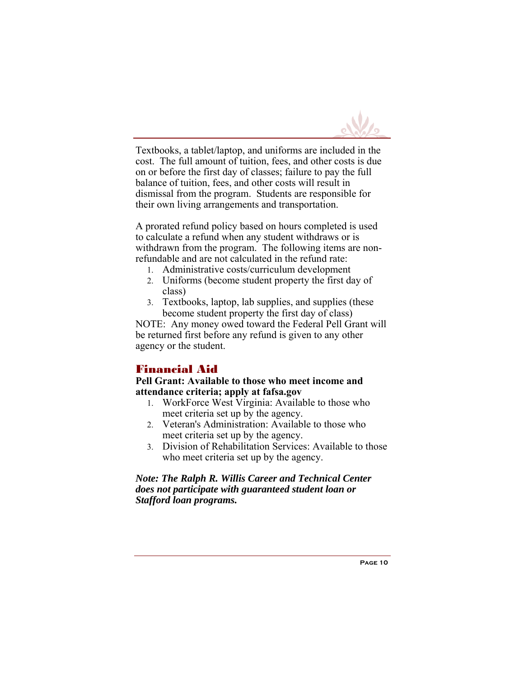

Textbooks, a tablet/laptop, and uniforms are included in the cost. The full amount of tuition, fees, and other costs is due on or before the first day of classes; failure to pay the full balance of tuition, fees, and other costs will result in dismissal from the program. Students are responsible for their own living arrangements and transportation.

A prorated refund policy based on hours completed is used to calculate a refund when any student withdraws or is withdrawn from the program. The following items are nonrefundable and are not calculated in the refund rate:

- Administrative costs/curriculum development
- Uniforms (become student property the first day of class)
- Textbooks, laptop, lab supplies, and supplies (these become student property the first day of class)

NOTE: Any money owed toward the Federal Pell Grant will be returned first before any refund is given to any other agency or the student.

## Financial Aid

**Pell Grant: Available to those who meet income and attendance criteria; apply at fafsa.gov** 

- WorkForce West Virginia: Available to those who meet criteria set up by the agency.
- Veteran's Administration: Available to those who meet criteria set up by the agency.
- Division of Rehabilitation Services: Available to those who meet criteria set up by the agency.

#### *Note: The Ralph R. Willis Career and Technical Center does not participate with guaranteed student loan or Stafford loan programs.*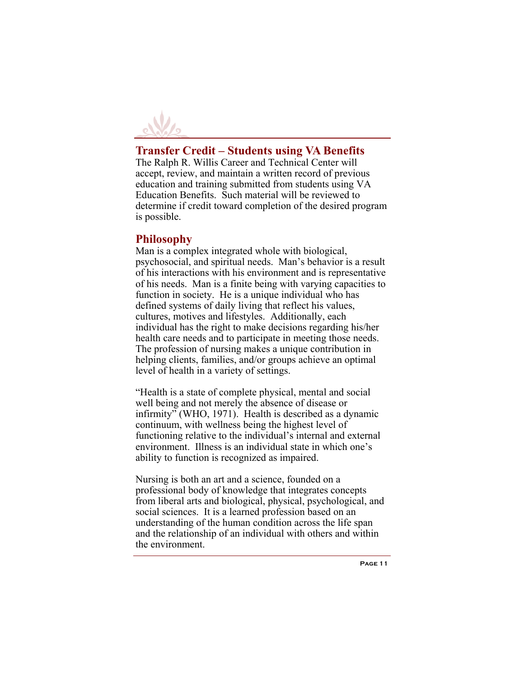

## **Transfer Credit – Students using VA Benefits**

The Ralph R. Willis Career and Technical Center will accept, review, and maintain a written record of previous education and training submitted from students using VA Education Benefits. Such material will be reviewed to determine if credit toward completion of the desired program is possible.

## **Philosophy**

Man is a complex integrated whole with biological, psychosocial, and spiritual needs. Man's behavior is a result of his interactions with his environment and is representative of his needs. Man is a finite being with varying capacities to function in society. He is a unique individual who has defined systems of daily living that reflect his values, cultures, motives and lifestyles. Additionally, each individual has the right to make decisions regarding his/her health care needs and to participate in meeting those needs. The profession of nursing makes a unique contribution in helping clients, families, and/or groups achieve an optimal level of health in a variety of settings.

"Health is a state of complete physical, mental and social well being and not merely the absence of disease or infirmity" (WHO, 1971). Health is described as a dynamic continuum, with wellness being the highest level of functioning relative to the individual's internal and external environment. Illness is an individual state in which one's ability to function is recognized as impaired.

Nursing is both an art and a science, founded on a professional body of knowledge that integrates concepts from liberal arts and biological, physical, psychological, and social sciences. It is a learned profession based on an understanding of the human condition across the life span and the relationship of an individual with others and within the environment.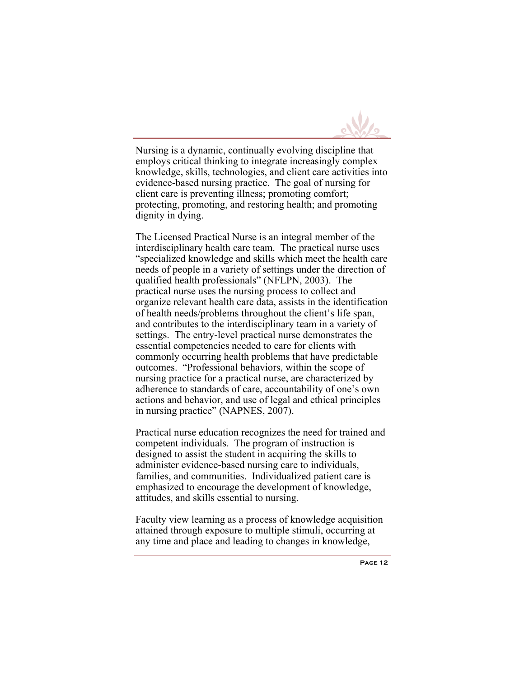

Nursing is a dynamic, continually evolving discipline that employs critical thinking to integrate increasingly complex knowledge, skills, technologies, and client care activities into evidence-based nursing practice. The goal of nursing for client care is preventing illness; promoting comfort; protecting, promoting, and restoring health; and promoting dignity in dying.

The Licensed Practical Nurse is an integral member of the interdisciplinary health care team. The practical nurse uses "specialized knowledge and skills which meet the health care needs of people in a variety of settings under the direction of qualified health professionals" (NFLPN, 2003). The practical nurse uses the nursing process to collect and organize relevant health care data, assists in the identification of health needs/problems throughout the client's life span, and contributes to the interdisciplinary team in a variety of settings. The entry-level practical nurse demonstrates the essential competencies needed to care for clients with commonly occurring health problems that have predictable outcomes. "Professional behaviors, within the scope of nursing practice for a practical nurse, are characterized by adherence to standards of care, accountability of one's own actions and behavior, and use of legal and ethical principles in nursing practice" (NAPNES, 2007).

Practical nurse education recognizes the need for trained and competent individuals. The program of instruction is designed to assist the student in acquiring the skills to administer evidence-based nursing care to individuals, families, and communities. Individualized patient care is emphasized to encourage the development of knowledge, attitudes, and skills essential to nursing.

Faculty view learning as a process of knowledge acquisition attained through exposure to multiple stimuli, occurring at any time and place and leading to changes in knowledge,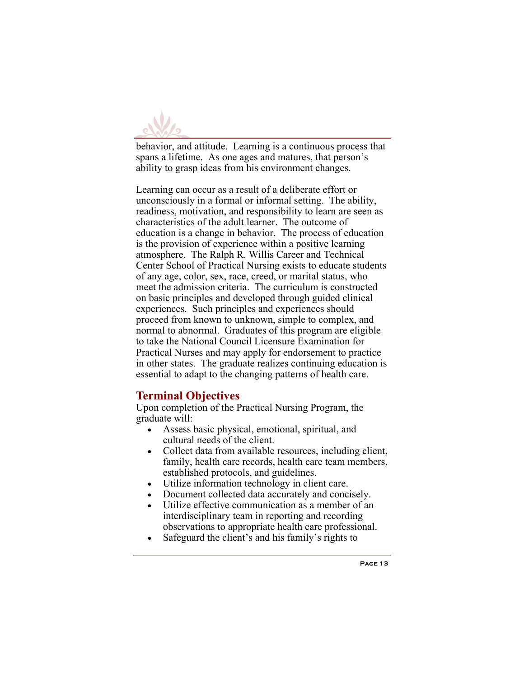

behavior, and attitude. Learning is a continuous process that spans a lifetime. As one ages and matures, that person's ability to grasp ideas from his environment changes.

Learning can occur as a result of a deliberate effort or unconsciously in a formal or informal setting. The ability, readiness, motivation, and responsibility to learn are seen as characteristics of the adult learner. The outcome of education is a change in behavior. The process of education is the provision of experience within a positive learning atmosphere. The Ralph R. Willis Career and Technical Center School of Practical Nursing exists to educate students of any age, color, sex, race, creed, or marital status, who meet the admission criteria. The curriculum is constructed on basic principles and developed through guided clinical experiences. Such principles and experiences should proceed from known to unknown, simple to complex, and normal to abnormal. Graduates of this program are eligible to take the National Council Licensure Examination for Practical Nurses and may apply for endorsement to practice in other states. The graduate realizes continuing education is essential to adapt to the changing patterns of health care.

## **Terminal Objectives**

Upon completion of the Practical Nursing Program, the graduate will:

- Assess basic physical, emotional, spiritual, and cultural needs of the client.
- Collect data from available resources, including client, family, health care records, health care team members, established protocols, and guidelines.
- Utilize information technology in client care.
- Document collected data accurately and concisely.
- Utilize effective communication as a member of an interdisciplinary team in reporting and recording observations to appropriate health care professional.
- Safeguard the client's and his family's rights to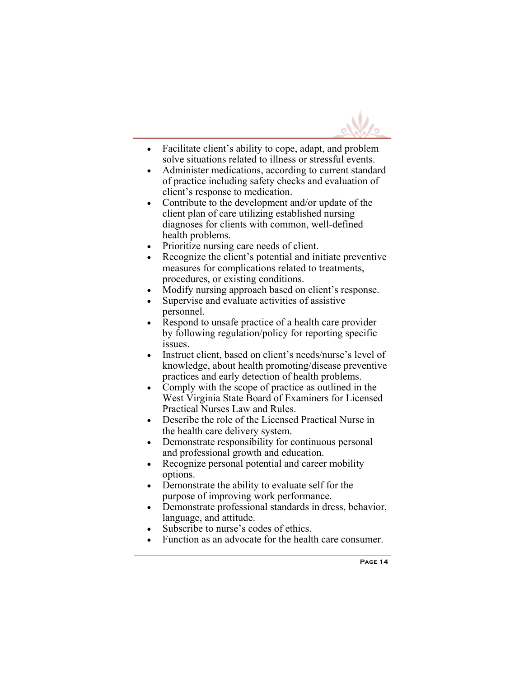

- Facilitate client's ability to cope, adapt, and problem solve situations related to illness or stressful events.
- Administer medications, according to current standard of practice including safety checks and evaluation of client's response to medication.
- Contribute to the development and/or update of the client plan of care utilizing established nursing diagnoses for clients with common, well-defined health problems.
- Prioritize nursing care needs of client.
- Recognize the client's potential and initiate preventive measures for complications related to treatments, procedures, or existing conditions.
- Modify nursing approach based on client's response.
- Supervise and evaluate activities of assistive personnel.
- Respond to unsafe practice of a health care provider by following regulation/policy for reporting specific issues.
- Instruct client, based on client's needs/nurse's level of knowledge, about health promoting/disease preventive practices and early detection of health problems.
- Comply with the scope of practice as outlined in the West Virginia State Board of Examiners for Licensed Practical Nurses Law and Rules.
- Describe the role of the Licensed Practical Nurse in the health care delivery system.
- Demonstrate responsibility for continuous personal and professional growth and education.
- Recognize personal potential and career mobility options.
- Demonstrate the ability to evaluate self for the purpose of improving work performance.
- Demonstrate professional standards in dress, behavior, language, and attitude.
- Subscribe to nurse's codes of ethics.
- Function as an advocate for the health care consumer.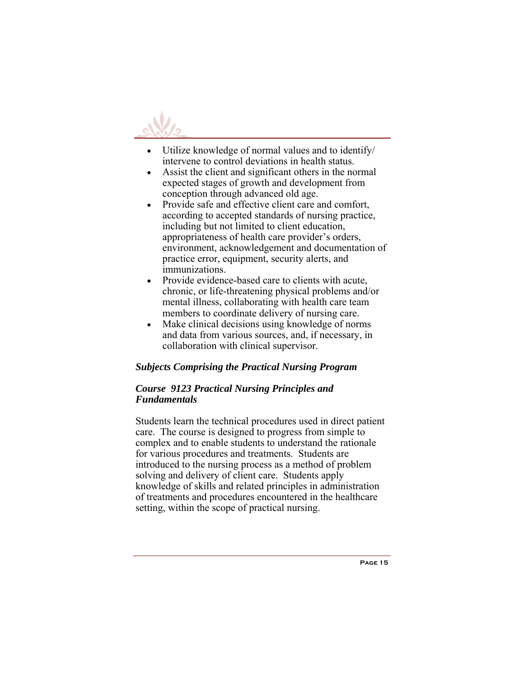

- Utilize knowledge of normal values and to identify/ intervene to control deviations in health status.
- Assist the client and significant others in the normal expected stages of growth and development from conception through advanced old age.
- Provide safe and effective client care and comfort, according to accepted standards of nursing practice, including but not limited to client education, appropriateness of health care provider's orders, environment, acknowledgement and documentation of practice error, equipment, security alerts, and immunizations.
- Provide evidence-based care to clients with acute, chronic, or life-threatening physical problems and/or mental illness, collaborating with health care team members to coordinate delivery of nursing care.
- Make clinical decisions using knowledge of norms and data from various sources, and, if necessary, in collaboration with clinical supervisor.

#### *Subjects Comprising the Practical Nursing Program*

#### *Course 9123 Practical Nursing Principles and Fundamentals*

Students learn the technical procedures used in direct patient care. The course is designed to progress from simple to complex and to enable students to understand the rationale for various procedures and treatments. Students are introduced to the nursing process as a method of problem solving and delivery of client care. Students apply knowledge of skills and related principles in administration of treatments and procedures encountered in the healthcare setting, within the scope of practical nursing.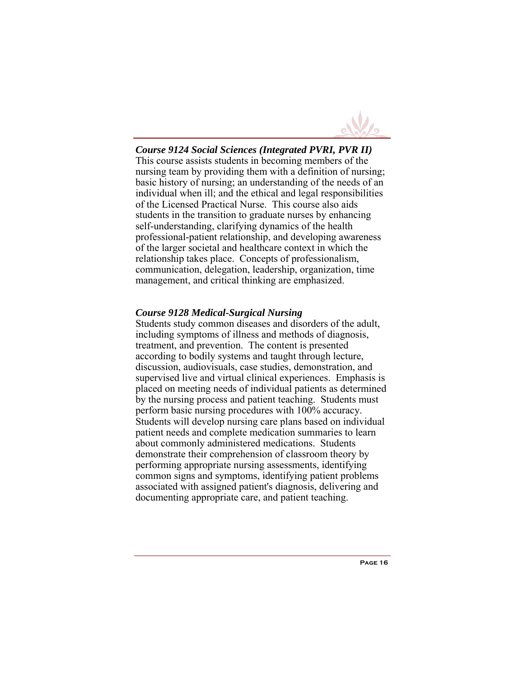

## *Course 9124 Social Sciences (Integrated PVRI, PVR II)*

This course assists students in becoming members of the nursing team by providing them with a definition of nursing; basic history of nursing; an understanding of the needs of an individual when ill; and the ethical and legal responsibilities of the Licensed Practical Nurse. This course also aids students in the transition to graduate nurses by enhancing self-understanding, clarifying dynamics of the health professional-patient relationship, and developing awareness of the larger societal and healthcare context in which the relationship takes place. Concepts of professionalism, communication, delegation, leadership, organization, time management, and critical thinking are emphasized.

#### *Course 9128 Medical-Surgical Nursing*

Students study common diseases and disorders of the adult, including symptoms of illness and methods of diagnosis, treatment, and prevention. The content is presented according to bodily systems and taught through lecture, discussion, audiovisuals, case studies, demonstration, and supervised live and virtual clinical experiences. Emphasis is placed on meeting needs of individual patients as determined by the nursing process and patient teaching. Students must perform basic nursing procedures with 100% accuracy. Students will develop nursing care plans based on individual patient needs and complete medication summaries to learn about commonly administered medications. Students demonstrate their comprehension of classroom theory by performing appropriate nursing assessments, identifying common signs and symptoms, identifying patient problems associated with assigned patient's diagnosis, delivering and documenting appropriate care, and patient teaching.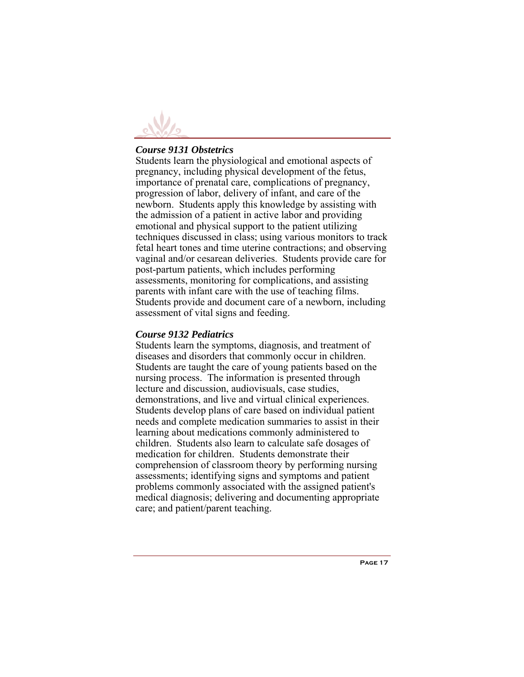

#### *Course 9131 Obstetrics*

Students learn the physiological and emotional aspects of pregnancy, including physical development of the fetus, importance of prenatal care, complications of pregnancy, progression of labor, delivery of infant, and care of the newborn. Students apply this knowledge by assisting with the admission of a patient in active labor and providing emotional and physical support to the patient utilizing techniques discussed in class; using various monitors to track fetal heart tones and time uterine contractions; and observing vaginal and/or cesarean deliveries. Students provide care for post-partum patients, which includes performing assessments, monitoring for complications, and assisting parents with infant care with the use of teaching films. Students provide and document care of a newborn, including assessment of vital signs and feeding.

#### *Course 9132 Pediatrics*

Students learn the symptoms, diagnosis, and treatment of diseases and disorders that commonly occur in children. Students are taught the care of young patients based on the nursing process. The information is presented through lecture and discussion, audiovisuals, case studies, demonstrations, and live and virtual clinical experiences. Students develop plans of care based on individual patient needs and complete medication summaries to assist in their learning about medications commonly administered to children. Students also learn to calculate safe dosages of medication for children. Students demonstrate their comprehension of classroom theory by performing nursing assessments; identifying signs and symptoms and patient problems commonly associated with the assigned patient's medical diagnosis; delivering and documenting appropriate care; and patient/parent teaching.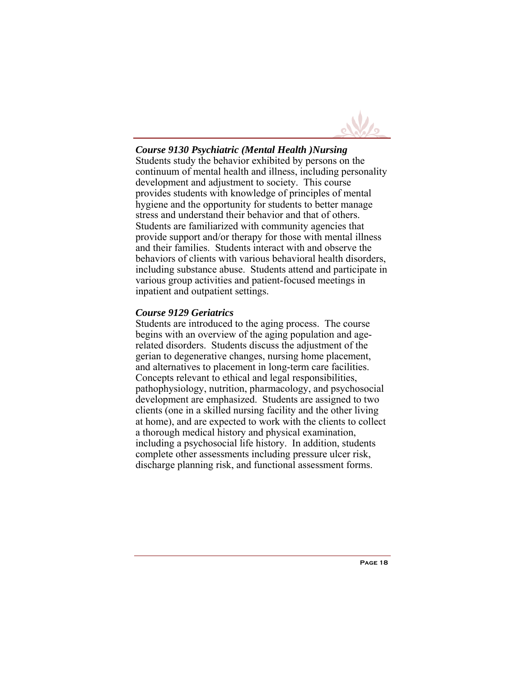

## *Course 9130 Psychiatric (Mental Health )Nursing*

Students study the behavior exhibited by persons on the continuum of mental health and illness, including personality development and adjustment to society. This course provides students with knowledge of principles of mental hygiene and the opportunity for students to better manage stress and understand their behavior and that of others. Students are familiarized with community agencies that provide support and/or therapy for those with mental illness and their families. Students interact with and observe the behaviors of clients with various behavioral health disorders, including substance abuse. Students attend and participate in various group activities and patient-focused meetings in inpatient and outpatient settings.

#### *Course 9129 Geriatrics*

Students are introduced to the aging process. The course begins with an overview of the aging population and agerelated disorders. Students discuss the adjustment of the gerian to degenerative changes, nursing home placement, and alternatives to placement in long-term care facilities. Concepts relevant to ethical and legal responsibilities, pathophysiology, nutrition, pharmacology, and psychosocial development are emphasized. Students are assigned to two clients (one in a skilled nursing facility and the other living at home), and are expected to work with the clients to collect a thorough medical history and physical examination, including a psychosocial life history. In addition, students complete other assessments including pressure ulcer risk, discharge planning risk, and functional assessment forms.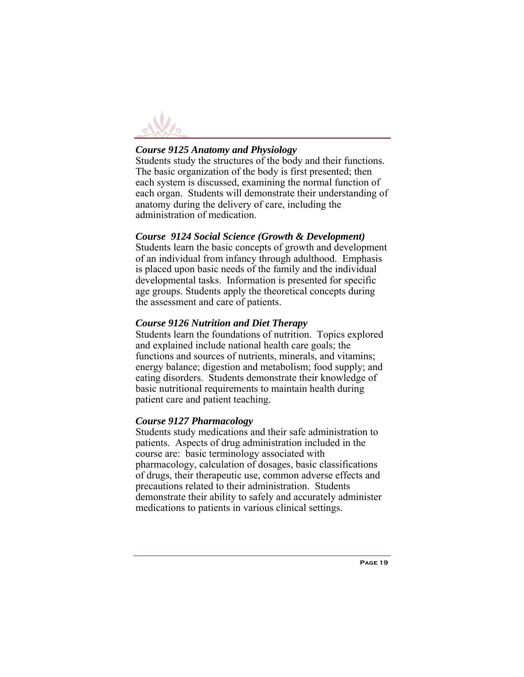

## *Course 9125 Anatomy and Physiology*

Students study the structures of the body and their functions. The basic organization of the body is first presented; then each system is discussed, examining the normal function of each organ. Students will demonstrate their understanding of anatomy during the delivery of care, including the administration of medication.

#### *Course 9124 Social Science (Growth & Development)*

Students learn the basic concepts of growth and development of an individual from infancy through adulthood. Emphasis is placed upon basic needs of the family and the individual developmental tasks. Information is presented for specific age groups. Students apply the theoretical concepts during the assessment and care of patients.

#### *Course 9126 Nutrition and Diet Therapy*

Students learn the foundations of nutrition. Topics explored and explained include national health care goals; the functions and sources of nutrients, minerals, and vitamins; energy balance; digestion and metabolism; food supply; and eating disorders. Students demonstrate their knowledge of basic nutritional requirements to maintain health during patient care and patient teaching.

#### *Course 9127 Pharmacology*

Students study medications and their safe administration to patients. Aspects of drug administration included in the course are: basic terminology associated with pharmacology, calculation of dosages, basic classifications of drugs, their therapeutic use, common adverse effects and precautions related to their administration. Students demonstrate their ability to safely and accurately administer medications to patients in various clinical settings.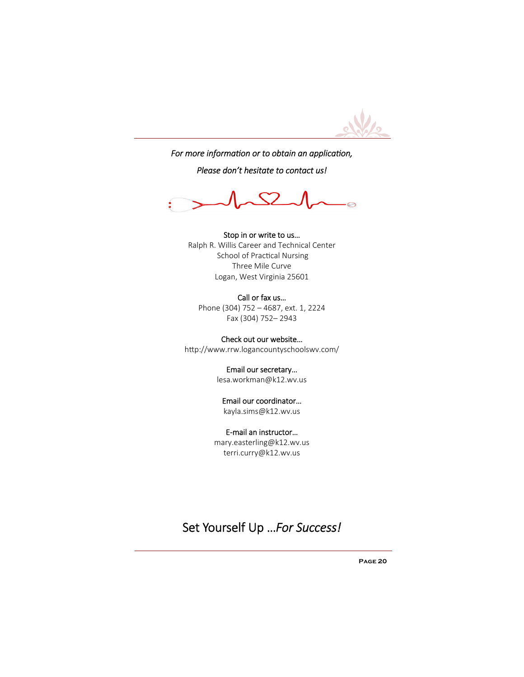

For more information or to obtain an application,

*Please don't hesitate to contact us!* 



Stop in or write to us… Ralph R. Willis Career and Technical Center School of Practical Nursing Three Mile Curve Logan, West Virginia 25601

Call or fax us… Phone (304) 752 – 4687, ext. 1, 2224 Fax (304) 752– 2943

Check out our website… http://www.rrw.logancountyschoolswv.com/

> Email our secretary… lesa.workman@k12.wv.us

#### Email our coordinator… kayla.sims@k12.wv.us

E‐mail an instructor… mary.easterling@k12.wv.us

terri.curry@k12.wv.us

Set Yourself Up …*For Success!*